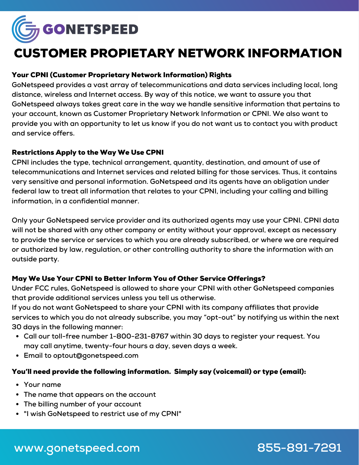

# CUSTOMER PROPIETARY NETWORK INFORMATION

# Your CPNI (Customer Proprietary Network Information) Rights

**GoNetspeed provides a vast array of telecommunications and data services including local, long distance, wireless and Internet access. By way of this notice, we want to assure you that GoNetspeed always takes great care in the way we handle sensitive information that pertains to your account, known as Customer Proprietary Network Information or CPNI. We also want to** provide you with an opportunity to let us know if you do not want us to contact you with product **and service offers.**

### Restrictions Apply to the Way We Use CPNI

**CPNI includes the type, technical arrangement, quantity, destination, and amount of use of telecommunications and Internet services and related billing for those services. Thus, it contains very sensitive and personal information. GoNetspeed and its agents have an obligation under federal law to treat all information that relates to your CPNI, including your calling and billing information, in a confidential manner.**

**Only your GoNetspeed service provider and its authorized agents may use your CPNI. CPNI data will not be shared with any other company or entity without your approval, except as necessary to provide the service or services to which you are already subscribed, or where we are required or authorized by law, regulation, or other controlling authority to share the information with an outside party.**

# May We Use Your CPNI to Better Inform You of Other Service Offerings?

**Under FCC rules, GoNetspeed is allowed to share your CPNI with other GoNetspeed companies that provide additional services unless you tell us otherwise.**

**If you do not want GoNetspeed to share your CPNI with its company affiliates that provide services to which you do not already subscribe, you may "opt-out" by notifying us within the next 30 days in the following manner:**

- **Call our toll-free number 1-800-231-8767 within 30 days to register your request. You may call anytime, twenty-four hours a day, seven days a week.**
- **Email to optout@gonetspeed.com**

#### You'll need provide the following information. Simply say (voicemail) or type (email):

- **Your name**
- **The name that appears on the account**
- **The billing number of your account**
- **"I wish GoNetspeed to restrict use of my CPNI"**

# **www.gonetspeed.com 855-891-7291**